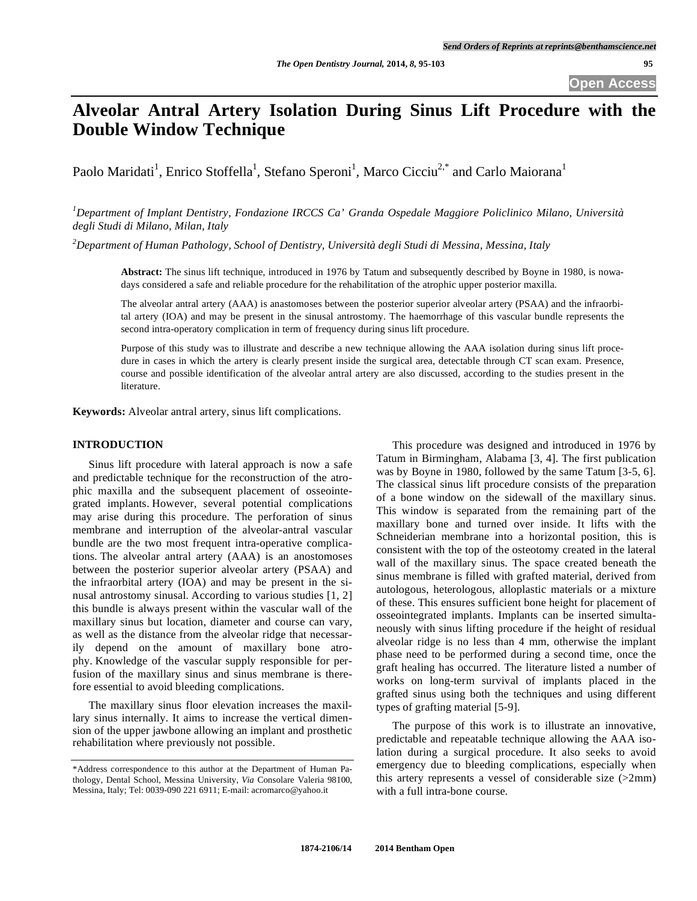# **Alveolar Antral Artery Isolation During Sinus Lift Procedure with the Double Window Technique**

Paolo Maridati<sup>1</sup>, Enrico Stoffella<sup>1</sup>, Stefano Speroni<sup>1</sup>, Marco Cicciu<sup>2,\*</sup> and Carlo Maiorana<sup>1</sup>

*1 Department of Implant Dentistry, Fondazione IRCCS Ca' Granda Ospedale Maggiore Policlinico Milano, Università degli Studi di Milano, Milan, Italy* 

*2 Department of Human Pathology, School of Dentistry, Università degli Studi di Messina, Messina, Italy* 

**Abstract:** The sinus lift technique, introduced in 1976 by Tatum and subsequently described by Boyne in 1980, is nowadays considered a safe and reliable procedure for the rehabilitation of the atrophic upper posterior maxilla.

The alveolar antral artery (AAA) is anastomoses between the posterior superior alveolar artery (PSAA) and the infraorbital artery (IOA) and may be present in the sinusal antrostomy. The haemorrhage of this vascular bundle represents the second intra-operatory complication in term of frequency during sinus lift procedure.

Purpose of this study was to illustrate and describe a new technique allowing the AAA isolation during sinus lift procedure in cases in which the artery is clearly present inside the surgical area, detectable through CT scan exam. Presence, course and possible identification of the alveolar antral artery are also discussed, according to the studies present in the literature.

**Keywords:** Alveolar antral artery, sinus lift complications.

## **INTRODUCTION**

Sinus lift procedure with lateral approach is now a safe and predictable technique for the reconstruction of the atrophic maxilla and the subsequent placement of osseointegrated implants. However, several potential complications may arise during this procedure. The perforation of sinus membrane and interruption of the alveolar-antral vascular bundle are the two most frequent intra-operative complications. The alveolar antral artery (AAA) is an anostomoses between the posterior superior alveolar artery (PSAA) and the infraorbital artery (IOA) and may be present in the sinusal antrostomy sinusal. According to various studies [1, 2] this bundle is always present within the vascular wall of the maxillary sinus but location, diameter and course can vary, as well as the distance from the alveolar ridge that necessarily depend on the amount of maxillary bone atrophy. Knowledge of the vascular supply responsible for perfusion of the maxillary sinus and sinus membrane is therefore essential to avoid bleeding complications.

The maxillary sinus floor elevation increases the maxillary sinus internally. It aims to increase the vertical dimension of the upper jawbone allowing an implant and prosthetic rehabilitation where previously not possible.

This procedure was designed and introduced in 1976 by Tatum in Birmingham, Alabama [3, 4]. The first publication was by Boyne in 1980, followed by the same Tatum [3-5, 6]. The classical sinus lift procedure consists of the preparation of a bone window on the sidewall of the maxillary sinus. This window is separated from the remaining part of the maxillary bone and turned over inside. It lifts with the Schneiderian membrane into a horizontal position, this is consistent with the top of the osteotomy created in the lateral wall of the maxillary sinus. The space created beneath the sinus membrane is filled with grafted material, derived from autologous, heterologous, alloplastic materials or a mixture of these. This ensures sufficient bone height for placement of osseointegrated implants. Implants can be inserted simultaneously with sinus lifting procedure if the height of residual alveolar ridge is no less than 4 mm, otherwise the implant phase need to be performed during a second time, once the graft healing has occurred. The literature listed a number of works on long-term survival of implants placed in the grafted sinus using both the techniques and using different types of grafting material [5-9].

The purpose of this work is to illustrate an innovative, predictable and repeatable technique allowing the AAA isolation during a surgical procedure. It also seeks to avoid emergency due to bleeding complications, especially when this artery represents a vessel of considerable size (>2mm) with a full intra-bone course.

<sup>\*</sup>Address correspondence to this author at the Department of Human Pathology, Dental School, Messina University, *Via* Consolare Valeria 98100, Messina, Italy; Tel: 0039-090 221 6911; E-mail: acromarco@yahoo.it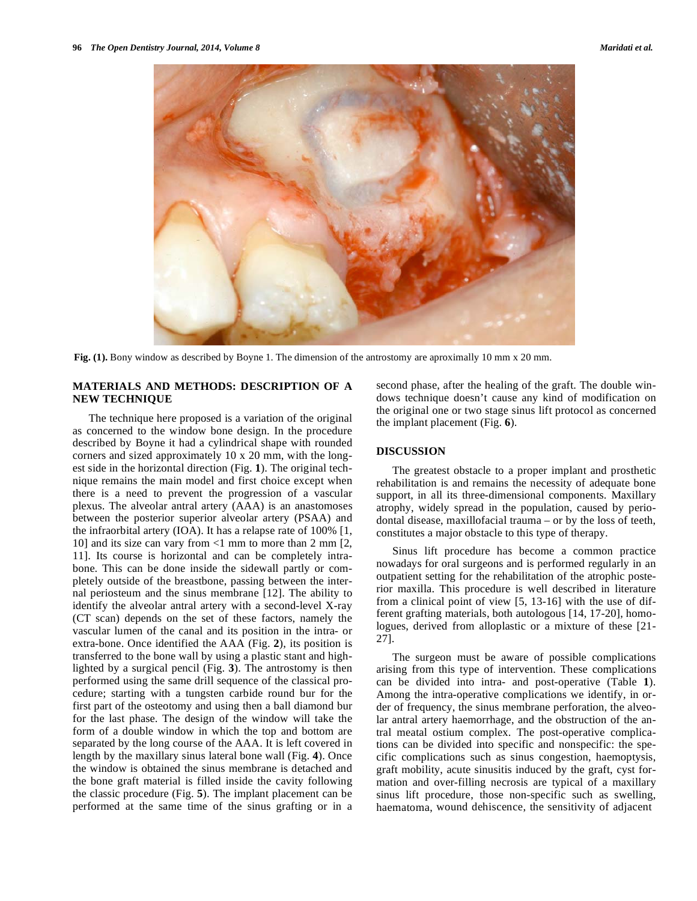

**Fig. (1).** Bony window as described by Boyne 1. The dimension of the antrostomy are aproximally 10 mm x 20 mm.

### **MATERIALS AND METHODS: DESCRIPTION OF A NEW TECHNIQUE**

The technique here proposed is a variation of the original as concerned to the window bone design. In the procedure described by Boyne it had a cylindrical shape with rounded corners and sized approximately 10 x 20 mm, with the longest side in the horizontal direction (Fig. **1**). The original technique remains the main model and first choice except when there is a need to prevent the progression of a vascular plexus. The alveolar antral artery (AAA) is an anastomoses between the posterior superior alveolar artery (PSAA) and the infraorbital artery (IOA). It has a relapse rate of 100% [1, 10] and its size can vary from <1 mm to more than 2 mm [2, 11]. Its course is horizontal and can be completely intrabone. This can be done inside the sidewall partly or completely outside of the breastbone, passing between the internal periosteum and the sinus membrane [12]. The ability to identify the alveolar antral artery with a second-level X-ray (CT scan) depends on the set of these factors, namely the vascular lumen of the canal and its position in the intra- or extra-bone. Once identified the AAA (Fig. **2**), its position is transferred to the bone wall by using a plastic stant and highlighted by a surgical pencil (Fig. **3**). The antrostomy is then performed using the same drill sequence of the classical procedure; starting with a tungsten carbide round bur for the first part of the osteotomy and using then a ball diamond bur for the last phase. The design of the window will take the form of a double window in which the top and bottom are separated by the long course of the AAA. It is left covered in length by the maxillary sinus lateral bone wall (Fig. **4**). Once the window is obtained the sinus membrane is detached and the bone graft material is filled inside the cavity following the classic procedure (Fig. **5**). The implant placement can be performed at the same time of the sinus grafting or in a second phase, after the healing of the graft. The double windows technique doesn't cause any kind of modification on the original one or two stage sinus lift protocol as concerned the implant placement (Fig. **6**).

### **DISCUSSION**

The greatest obstacle to a proper implant and prosthetic rehabilitation is and remains the necessity of adequate bone support, in all its three-dimensional components. Maxillary atrophy, widely spread in the population, caused by periodontal disease, maxillofacial trauma – or by the loss of teeth, constitutes a major obstacle to this type of therapy.

Sinus lift procedure has become a common practice nowadays for oral surgeons and is performed regularly in an outpatient setting for the rehabilitation of the atrophic posterior maxilla. This procedure is well described in literature from a clinical point of view [5, 13-16] with the use of different grafting materials, both autologous [14, 17-20], homologues, derived from alloplastic or a mixture of these [21- 27].

The surgeon must be aware of possible complications arising from this type of intervention. These complications can be divided into intra- and post-operative (Table **1**). Among the intra-operative complications we identify, in order of frequency, the sinus membrane perforation, the alveolar antral artery haemorrhage, and the obstruction of the antral meatal ostium complex. The post-operative complications can be divided into specific and nonspecific: the specific complications such as sinus congestion, haemoptysis, graft mobility, acute sinusitis induced by the graft, cyst formation and over-filling necrosis are typical of a maxillary sinus lift procedure, those non-specific such as swelling, haematoma, wound dehiscence, the sensitivity of adjacent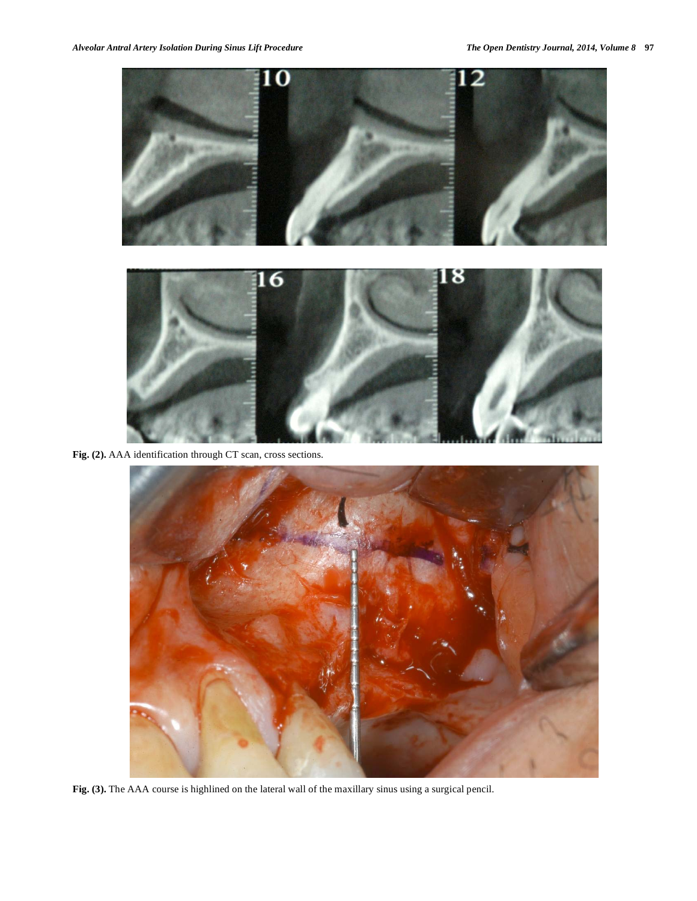

**Fig. (2).** AAA identification through CT scan, cross sections.



**Fig. (3).** The AAA course is highlined on the lateral wall of the maxillary sinus using a surgical pencil.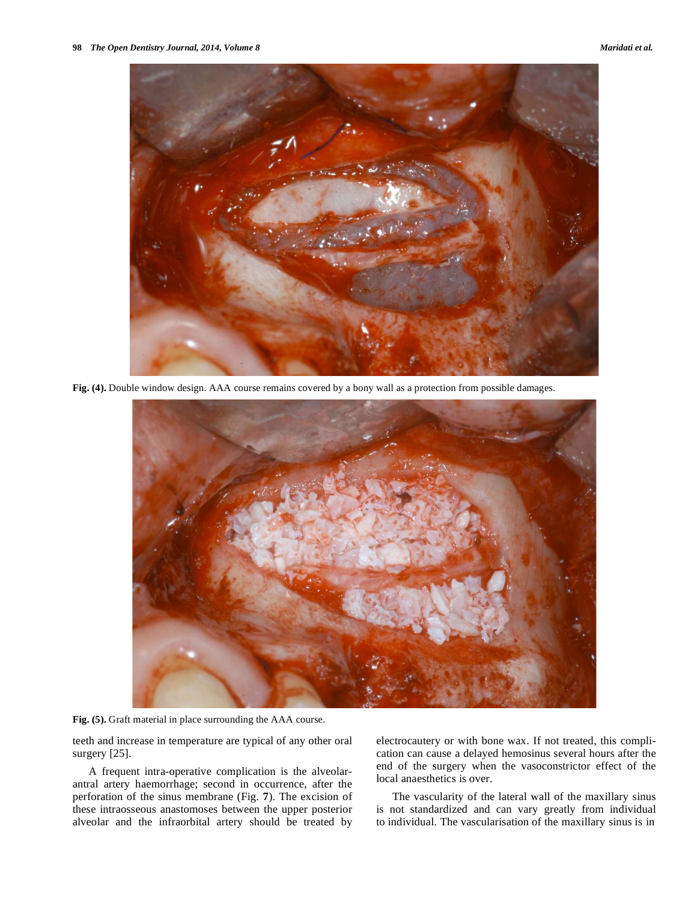

**Fig. (4).** Double window design. AAA course remains covered by a bony wall as a protection from possible damages.



**Fig. (5).** Graft material in place surrounding the AAA course.

teeth and increase in temperature are typical of any other oral surgery [25].

A frequent intra-operative complication is the alveolarantral artery haemorrhage; second in occurrence, after the perforation of the sinus membrane (Fig. **7**). The excision of these intraosseous anastomoses between the upper posterior alveolar and the infraorbital artery should be treated by

electrocautery or with bone wax. If not treated, this complication can cause a delayed hemosinus several hours after the end of the surgery when the vasoconstrictor effect of the local anaesthetics is over.

The vascularity of the lateral wall of the maxillary sinus is not standardized and can vary greatly from individual to individual. The vascularisation of the maxillary sinus is in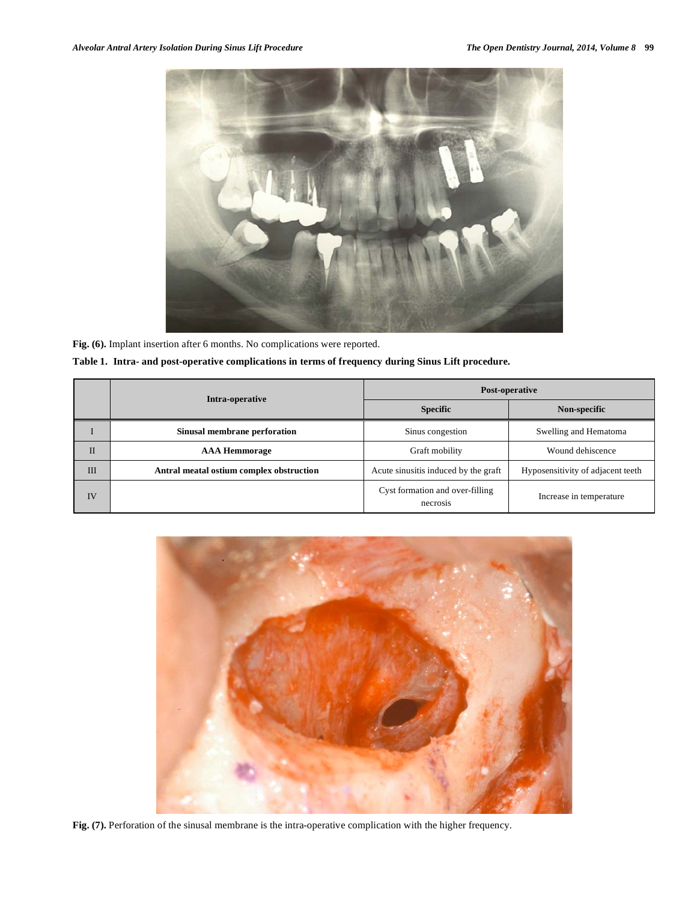

**Fig. (6).** Implant insertion after 6 months. No complications were reported.

|  |  | Table 1. Intra- and post-operative complications in terms of frequency during Sinus Lift procedure. |
|--|--|-----------------------------------------------------------------------------------------------------|
|  |  |                                                                                                     |

|              |                                          | Post-operative                              |                                   |  |
|--------------|------------------------------------------|---------------------------------------------|-----------------------------------|--|
|              | Intra-operative                          | <b>Specific</b>                             | Non-specific                      |  |
|              | Sinusal membrane perforation             | Sinus congestion                            | Swelling and Hematoma             |  |
| $\mathbf{I}$ | <b>AAA Hemmorage</b>                     | Graft mobility                              | Wound dehiscence                  |  |
| III          | Antral meatal ostium complex obstruction | Acute sinusitis induced by the graft        | Hyposensitivity of adjacent teeth |  |
| IV           |                                          | Cyst formation and over-filling<br>necrosis | Increase in temperature           |  |



**Fig. (7).** Perforation of the sinusal membrane is the intra-operative complication with the higher frequency.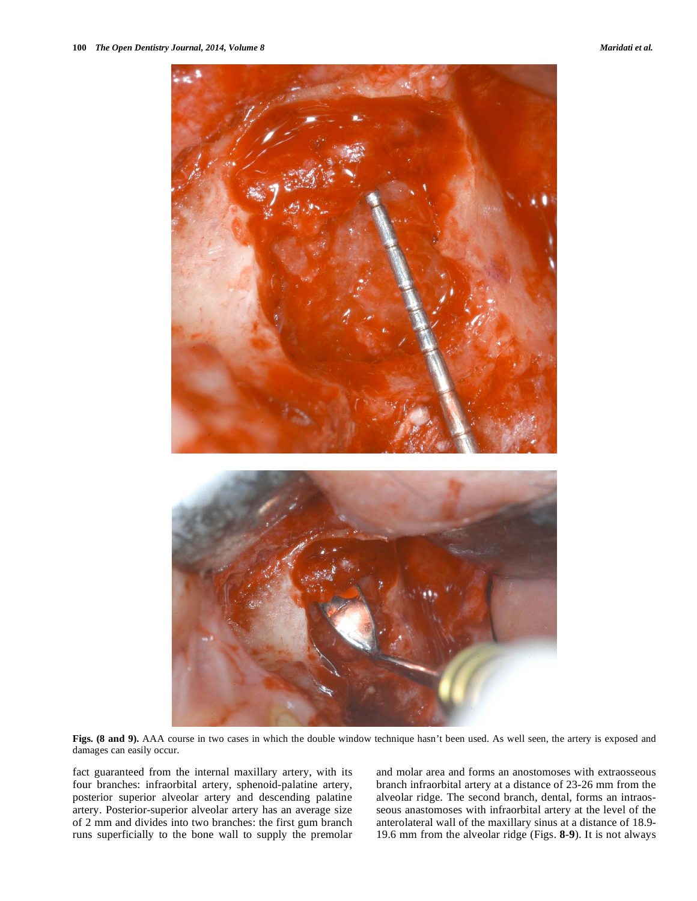

Figs. (8 and 9). AAA course in two cases in which the double window technique hasn't been used. As well seen, the artery is exposed and damages can easily occur.

fact guaranteed from the internal maxillary artery, with its four branches: infraorbital artery, sphenoid-palatine artery, posterior superior alveolar artery and descending palatine artery. Posterior-superior alveolar artery has an average size of 2 mm and divides into two branches: the first gum branch runs superficially to the bone wall to supply the premolar

and molar area and forms an anostomoses with extraosseous branch infraorbital artery at a distance of 23-26 mm from the alveolar ridge. The second branch, dental, forms an intraosseous anastomoses with infraorbital artery at the level of the anterolateral wall of the maxillary sinus at a distance of 18.9- 19.6 mm from the alveolar ridge (Figs. **8**-**9**). It is not always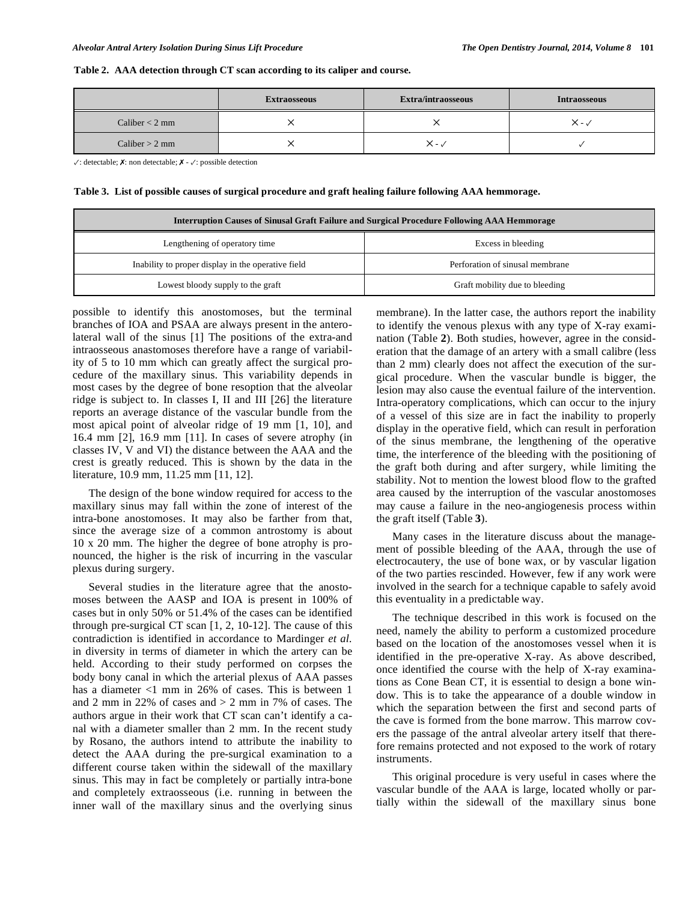#### **Table 2. AAA detection through CT scan according to its caliper and course.**

|                  | <b>Extraosseous</b> | <b>Extra/intraosseous</b> | <b>Intraosseous</b> |
|------------------|---------------------|---------------------------|---------------------|
| Caliber $<$ 2 mm |                     |                           | $X - y$             |
| Caliber $> 2$ mm |                     | $X - V$                   |                     |

**√**: detectable; **X**: non detectable; **X** - √: possible detection

#### **Table 3. List of possible causes of surgical procedure and graft healing failure following AAA hemmorage.**

| <b>Interruption Causes of Sinusal Graft Failure and Surgical Procedure Following AAA Hemmorage</b> |                                 |  |  |  |
|----------------------------------------------------------------------------------------------------|---------------------------------|--|--|--|
| Lengthening of operatory time                                                                      | Excess in bleeding              |  |  |  |
| Inability to proper display in the operative field                                                 | Perforation of sinusal membrane |  |  |  |
| Lowest bloody supply to the graft                                                                  | Graft mobility due to bleeding  |  |  |  |

possible to identify this anostomoses, but the terminal branches of IOA and PSAA are always present in the anterolateral wall of the sinus [1] The positions of the extra-and intraosseous anastomoses therefore have a range of variability of 5 to 10 mm which can greatly affect the surgical procedure of the maxillary sinus. This variability depends in most cases by the degree of bone resoption that the alveolar ridge is subject to. In classes I, II and III [26] the literature reports an average distance of the vascular bundle from the most apical point of alveolar ridge of 19 mm [1, 10], and 16.4 mm [2], 16.9 mm [11]. In cases of severe atrophy (in classes IV, V and VI) the distance between the AAA and the crest is greatly reduced. This is shown by the data in the literature, 10.9 mm, 11.25 mm [11, 12].

The design of the bone window required for access to the maxillary sinus may fall within the zone of interest of the intra-bone anostomoses. It may also be farther from that, since the average size of a common antrostomy is about 10 x 20 mm. The higher the degree of bone atrophy is pronounced, the higher is the risk of incurring in the vascular plexus during surgery.

Several studies in the literature agree that the anostomoses between the AASP and IOA is present in 100% of cases but in only 50% or 51.4% of the cases can be identified through pre-surgical CT scan [1, 2, 10-12]. The cause of this contradiction is identified in accordance to Mardinger *et al.* in diversity in terms of diameter in which the artery can be held. According to their study performed on corpses the body bony canal in which the arterial plexus of AAA passes has a diameter <1 mm in 26% of cases. This is between 1 and 2 mm in 22% of cases and  $> 2$  mm in 7% of cases. The authors argue in their work that CT scan can't identify a canal with a diameter smaller than 2 mm. In the recent study by Rosano, the authors intend to attribute the inability to detect the AAA during the pre-surgical examination to a different course taken within the sidewall of the maxillary sinus. This may in fact be completely or partially intra-bone and completely extraosseous (i.e. running in between the inner wall of the maxillary sinus and the overlying sinus membrane). In the latter case, the authors report the inability to identify the venous plexus with any type of X-ray examination (Table **2**). Both studies, however, agree in the consideration that the damage of an artery with a small calibre (less than 2 mm) clearly does not affect the execution of the surgical procedure. When the vascular bundle is bigger, the lesion may also cause the eventual failure of the intervention. Intra-operatory complications, which can occur to the injury of a vessel of this size are in fact the inability to properly display in the operative field, which can result in perforation of the sinus membrane, the lengthening of the operative time, the interference of the bleeding with the positioning of the graft both during and after surgery, while limiting the stability. Not to mention the lowest blood flow to the grafted area caused by the interruption of the vascular anostomoses may cause a failure in the neo-angiogenesis process within the graft itself (Table **3**).

Many cases in the literature discuss about the management of possible bleeding of the AAA, through the use of electrocautery, the use of bone wax, or by vascular ligation of the two parties rescinded. However, few if any work were involved in the search for a technique capable to safely avoid this eventuality in a predictable way.

The technique described in this work is focused on the need, namely the ability to perform a customized procedure based on the location of the anostomoses vessel when it is identified in the pre-operative X-ray. As above described, once identified the course with the help of X-ray examinations as Cone Bean CT, it is essential to design a bone window. This is to take the appearance of a double window in which the separation between the first and second parts of the cave is formed from the bone marrow. This marrow covers the passage of the antral alveolar artery itself that therefore remains protected and not exposed to the work of rotary instruments.

This original procedure is very useful in cases where the vascular bundle of the AAA is large, located wholly or partially within the sidewall of the maxillary sinus bone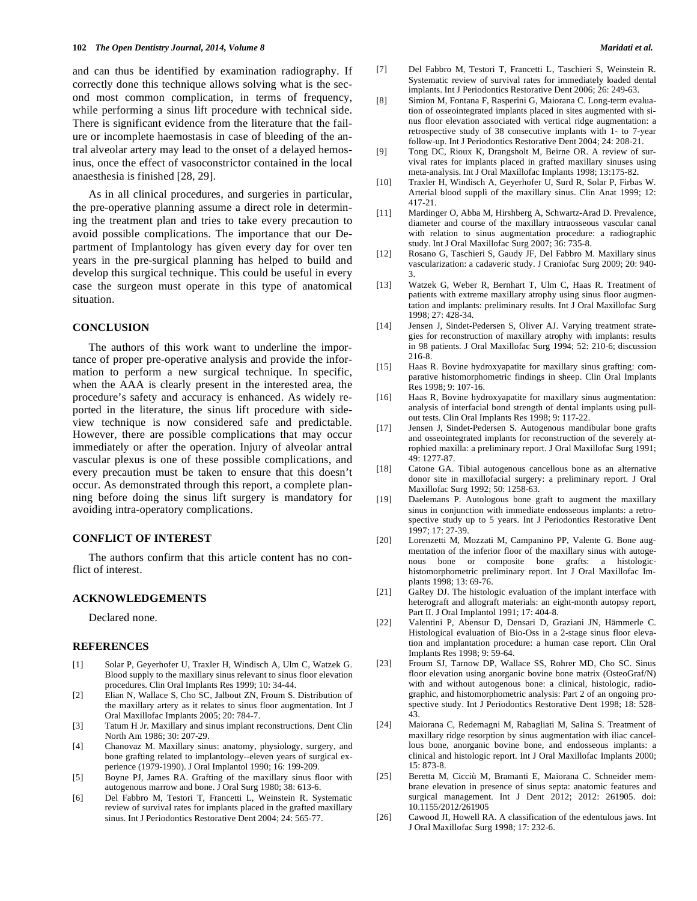and can thus be identified by examination radiography. If correctly done this technique allows solving what is the second most common complication, in terms of frequency, while performing a sinus lift procedure with technical side. There is significant evidence from the literature that the failure or incomplete haemostasis in case of bleeding of the antral alveolar artery may lead to the onset of a delayed hemosinus, once the effect of vasoconstrictor contained in the local anaesthesia is finished [28, 29].

As in all clinical procedures, and surgeries in particular, the pre-operative planning assume a direct role in determining the treatment plan and tries to take every precaution to avoid possible complications. The importance that our Department of Implantology has given every day for over ten years in the pre-surgical planning has helped to build and develop this surgical technique. This could be useful in every case the surgeon must operate in this type of anatomical situation.

#### **CONCLUSION**

The authors of this work want to underline the importance of proper pre-operative analysis and provide the information to perform a new surgical technique. In specific, when the AAA is clearly present in the interested area, the procedure's safety and accuracy is enhanced. As widely reported in the literature, the sinus lift procedure with sideview technique is now considered safe and predictable. However, there are possible complications that may occur immediately or after the operation. Injury of alveolar antral vascular plexus is one of these possible complications, and every precaution must be taken to ensure that this doesn't occur. As demonstrated through this report, a complete planning before doing the sinus lift surgery is mandatory for avoiding intra-operatory complications.

### **CONFLICT OF INTEREST**

The authors confirm that this article content has no conflict of interest.

#### **ACKNOWLEDGEMENTS**

Declared none.

#### **REFERENCES**

- [1] Solar P, Geyerhofer U, Traxler H, Windisch A, Ulm C, Watzek G. Blood supply to the maxillary sinus relevant to sinus floor elevation procedures. Clin Oral Implants Res 1999; 10: 34-44.
- [2] Elian N, Wallace S, Cho SC, Jalbout ZN, Froum S. Distribution of the maxillary artery as it relates to sinus floor augmentation. Int J Oral Maxillofac Implants 2005; 20: 784-7.
- [3] Tatum H Jr. Maxillary and sinus implant reconstructions. Dent Clin North Am 1986; 30: 207-29.
- [4] Chanovaz M. Maxillary sinus: anatomy, physiology, surgery, and bone grafting related to implantology--eleven years of surgical experience (1979-1990). J Oral Implantol 1990; 16: 199-209.
- [5] Boyne PJ, James RA. Grafting of the maxillary sinus floor with autogenous marrow and bone. J Oral Surg 1980; 38: 613-6.
- [6] Del Fabbro M, Testori T, Francetti L, Weinstein R. Systematic review of survival rates for implants placed in the grafted maxillary sinus. Int J Periodontics Restorative Dent 2004; 24: 565-77.
- [7] Del Fabbro M, Testori T, Francetti L, Taschieri S, Weinstein R. Systematic review of survival rates for immediately loaded dental implants. Int J Periodontics Restorative Dent 2006; 26: 249-63.
- [8] Simion M, Fontana F, Rasperini G, Maiorana C. Long-term evaluation of osseointegrated implants placed in sites augmented with sinus floor elevation associated with vertical ridge augmentation: a retrospective study of 38 consecutive implants with 1- to 7-year follow-up. Int J Periodontics Restorative Dent 2004; 24: 208-21.
- [9] Tong DC, Rioux K, Drangsholt M, Beirne OR. A review of survival rates for implants placed in grafted maxillary sinuses using meta-analysis. Int J Oral Maxillofac Implants 1998; 13:175-82.
- [10] Traxler H, Windisch A, Geyerhofer U, Surd R, Solar P, Firbas W. Arterial blood supplì of the maxillary sinus. Clin Anat 1999; 12: 417-21.
- [11] Mardinger O, Abba M, Hirshberg A, Schwartz-Arad D. Prevalence, diameter and course of the maxillary intraosseous vascular canal with relation to sinus augmentation procedure: a radiographic study. Int J Oral Maxillofac Surg 2007; 36: 735-8.
- [12] Rosano G, Taschieri S, Gaudy JF, Del Fabbro M. Maxillary sinus vascularization: a cadaveric study. J Craniofac Surg 2009; 20: 940- 3.
- [13] Watzek G, Weber R, Bernhart T, Ulm C, Haas R. Treatment of patients with extreme maxillary atrophy using sinus floor augmentation and implants: preliminary results. Int J Oral Maxillofac Surg 1998; 27: 428-34.
- [14] Jensen J, Sindet-Pedersen S, Oliver AJ. Varying treatment strategies for reconstruction of maxillary atrophy with implants: results in 98 patients. J Oral Maxillofac Surg 1994; 52: 210-6; discussion 216-8.
- [15] Haas R. Bovine hydroxyapatite for maxillary sinus grafting: comparative histomorphometric findings in sheep. Clin Oral Implants Res 1998; 9: 107-16.
- [16] Haas R, Bovine hydroxyapatite for maxillary sinus augmentation: analysis of interfacial bond strength of dental implants using pullout tests. Clin Oral Implants Res 1998; 9: 117-22.
- [17] Jensen J, Sindet-Pedersen S. Autogenous mandibular bone grafts and osseointegrated implants for reconstruction of the severely atrophied maxilla: a preliminary report. J Oral Maxillofac Surg 1991; 49: 1277-87.
- [18] Catone GA. Tibial autogenous cancellous bone as an alternative donor site in maxillofacial surgery: a preliminary report. J Oral Maxillofac Surg 1992; 50: 1258-63.
- [19] Daelemans P. Autologous bone graft to augment the maxillary sinus in conjunction with immediate endosseous implants: a retrospective study up to 5 years. Int J Periodontics Restorative Dent 1997; 17: 27-39.
- [20] Lorenzetti M, Mozzati M, Campanino PP, Valente G. Bone augmentation of the inferior floor of the maxillary sinus with autogenous bone or composite bone grafts: a histologichistomorphometric preliminary report. Int J Oral Maxillofac Implants 1998; 13: 69-76.
- [21] GaRey DJ. The histologic evaluation of the implant interface with heterograft and allograft materials: an eight-month autopsy report, Part II. J Oral Implantol 1991; 17: 404-8.
- [22] Valentini P, Abensur D, Densari D, Graziani JN, Hämmerle C. Histological evaluation of Bio-Oss in a 2-stage sinus floor elevation and implantation procedure: a human case report. Clin Oral Implants Res 1998; 9: 59-64.
- [23] Froum SJ, Tarnow DP, Wallace SS, Rohrer MD, Cho SC. Sinus floor elevation using anorganic bovine bone matrix (OsteoGraf/N) with and without autogenous bone: a clinical, histologic, radiographic, and histomorphometric analysis: Part 2 of an ongoing prospective study. Int J Periodontics Restorative Dent 1998; 18: 528- 43.
- [24] Maiorana C, Redemagni M, Rabagliati M, Salina S. Treatment of maxillary ridge resorption by sinus augmentation with iliac cancellous bone, anorganic bovine bone, and endosseous implants: a clinical and histologic report. Int J Oral Maxillofac Implants 2000; 15: 873-8.
- [25] Beretta M, Cicciù M, Bramanti E, Maiorana C. Schneider membrane elevation in presence of sinus septa: anatomic features and surgical management. Int J Dent 2012; 2012: 261905. doi: 10.1155/2012/261905
- [26] Cawood JI, Howell RA. A classification of the edentulous jaws. Int J Oral Maxillofac Surg 1998; 17: 232-6.